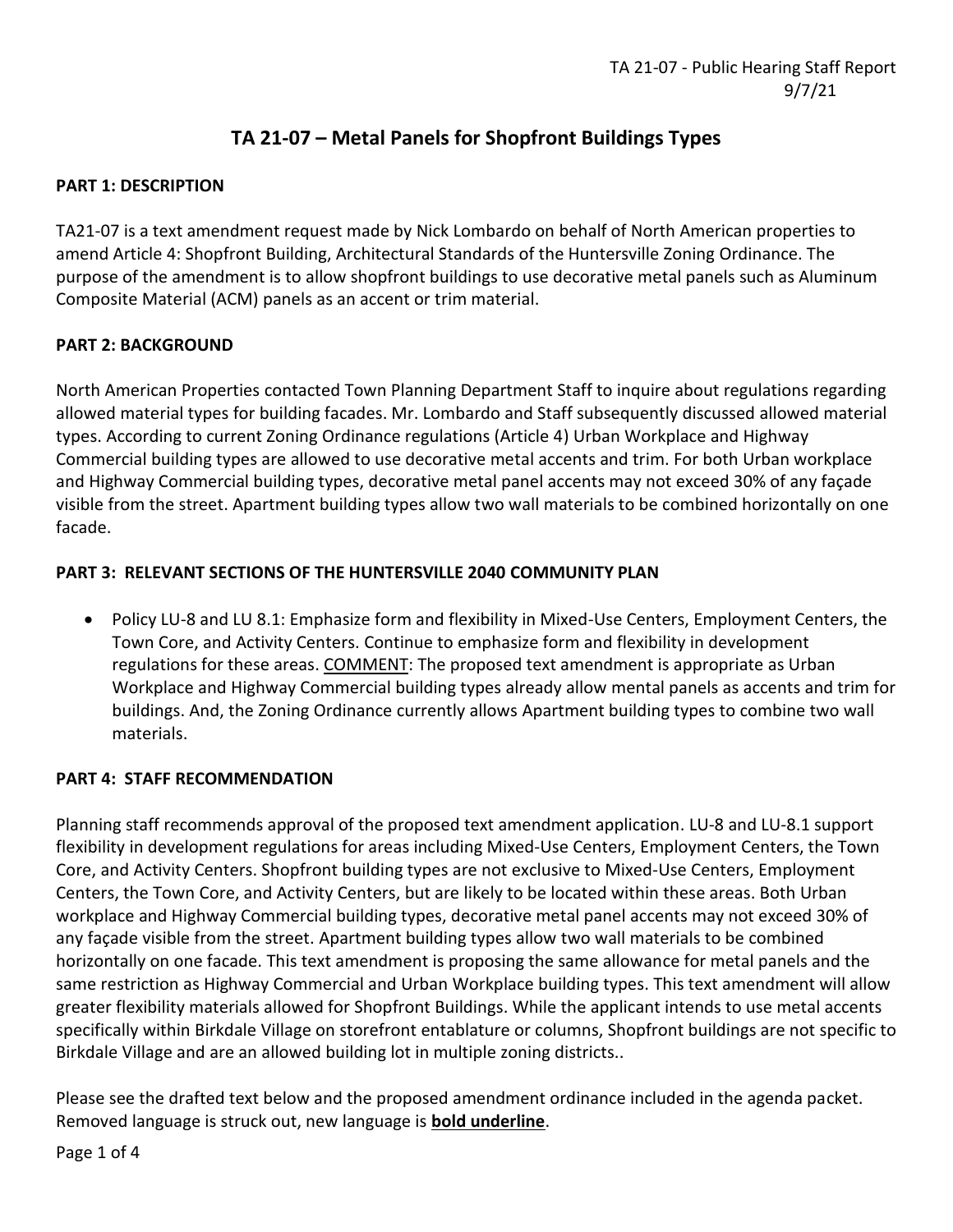# **TA 21-07 – Metal Panels for Shopfront Buildings Types**

# **PART 1: DESCRIPTION**

TA21-07 is a text amendment request made by Nick Lombardo on behalf of North American properties to amend Article 4: Shopfront Building, Architectural Standards of the Huntersville Zoning Ordinance. The purpose of the amendment is to allow shopfront buildings to use decorative metal panels such as Aluminum Composite Material (ACM) panels as an accent or trim material.

# **PART 2: BACKGROUND**

North American Properties contacted Town Planning Department Staff to inquire about regulations regarding allowed material types for building facades. Mr. Lombardo and Staff subsequently discussed allowed material types. According to current Zoning Ordinance regulations (Article 4) Urban Workplace and Highway Commercial building types are allowed to use decorative metal accents and trim. For both Urban workplace and Highway Commercial building types, decorative metal panel accents may not exceed 30% of any façade visible from the street. Apartment building types allow two wall materials to be combined horizontally on one facade.

# **PART 3: RELEVANT SECTIONS OF THE HUNTERSVILLE 2040 COMMUNITY PLAN**

• Policy LU-8 and LU 8.1: Emphasize form and flexibility in Mixed-Use Centers, Employment Centers, the Town Core, and Activity Centers. Continue to emphasize form and flexibility in development regulations for these areas. COMMENT: The proposed text amendment is appropriate as Urban Workplace and Highway Commercial building types already allow mental panels as accents and trim for buildings. And, the Zoning Ordinance currently allows Apartment building types to combine two wall materials.

#### **PART 4: STAFF RECOMMENDATION**

Planning staff recommends approval of the proposed text amendment application. LU-8 and LU-8.1 support flexibility in development regulations for areas including Mixed-Use Centers, Employment Centers, the Town Core, and Activity Centers. Shopfront building types are not exclusive to Mixed-Use Centers, Employment Centers, the Town Core, and Activity Centers, but are likely to be located within these areas. Both Urban workplace and Highway Commercial building types, decorative metal panel accents may not exceed 30% of any façade visible from the street. Apartment building types allow two wall materials to be combined horizontally on one facade. This text amendment is proposing the same allowance for metal panels and the same restriction as Highway Commercial and Urban Workplace building types. This text amendment will allow greater flexibility materials allowed for Shopfront Buildings. While the applicant intends to use metal accents specifically within Birkdale Village on storefront entablature or columns, Shopfront buildings are not specific to Birkdale Village and are an allowed building lot in multiple zoning districts..

Please see the drafted text below and the proposed amendment ordinance included in the agenda packet. Removed language is struck out, new language is **bold underline**.

Page 1 of 4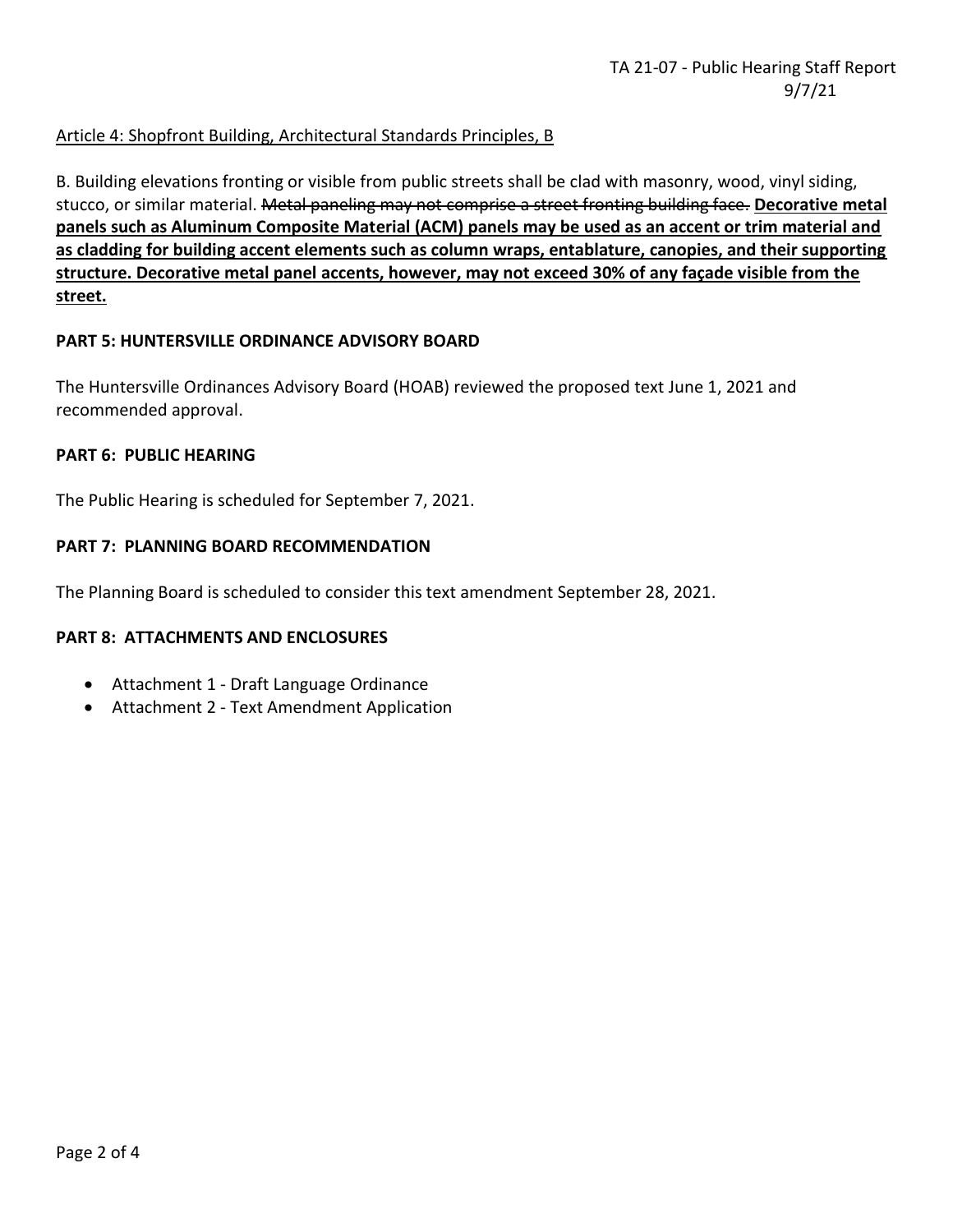# Article 4: Shopfront Building, Architectural Standards Principles, B

B. Building elevations fronting or visible from public streets shall be clad with masonry, wood, vinyl siding, stucco, or similar material. Metal paneling may not comprise a street fronting building face. **Decorative metal panels such as Aluminum Composite Material (ACM) panels may be used as an accent or trim material and as cladding for building accent elements such as column wraps, entablature, canopies, and their supporting structure. Decorative metal panel accents, however, may not exceed 30% of any façade visible from the street.**

#### **PART 5: HUNTERSVILLE ORDINANCE ADVISORY BOARD**

The Huntersville Ordinances Advisory Board (HOAB) reviewed the proposed text June 1, 2021 and recommended approval.

#### **PART 6: PUBLIC HEARING**

The Public Hearing is scheduled for September 7, 2021.

#### **PART 7: PLANNING BOARD RECOMMENDATION**

The Planning Board is scheduled to consider this text amendment September 28, 2021.

#### **PART 8: ATTACHMENTS AND ENCLOSURES**

- Attachment 1 Draft Language Ordinance
- Attachment 2 Text Amendment Application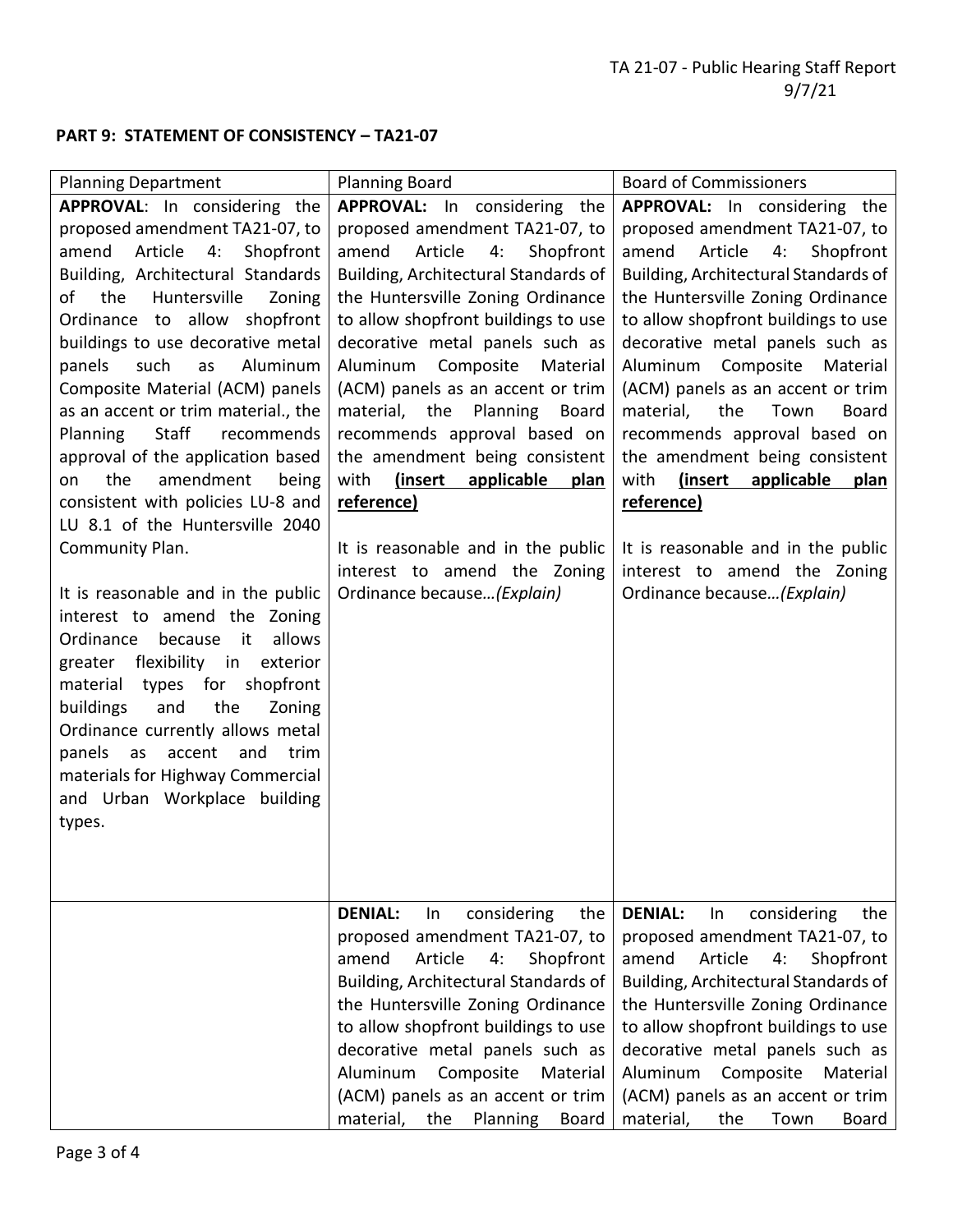# **PART 9: STATEMENT OF CONSISTENCY – TA21-07**

| <b>Planning Department</b>                                                                                                                                                                                                                                                                                                                                                                                | <b>Planning Board</b>                                                                                                                                                                                                                                                                                                                                                                | <b>Board of Commissioners</b>                                                                                                                                                                                                                                                                                                                                                             |
|-----------------------------------------------------------------------------------------------------------------------------------------------------------------------------------------------------------------------------------------------------------------------------------------------------------------------------------------------------------------------------------------------------------|--------------------------------------------------------------------------------------------------------------------------------------------------------------------------------------------------------------------------------------------------------------------------------------------------------------------------------------------------------------------------------------|-------------------------------------------------------------------------------------------------------------------------------------------------------------------------------------------------------------------------------------------------------------------------------------------------------------------------------------------------------------------------------------------|
| APPROVAL: In considering the                                                                                                                                                                                                                                                                                                                                                                              | APPROVAL: In considering the                                                                                                                                                                                                                                                                                                                                                         | <b>APPROVAL:</b> In considering the                                                                                                                                                                                                                                                                                                                                                       |
| proposed amendment TA21-07, to<br>4:<br>Shopfront<br>amend<br>Article<br>Building, Architectural Standards<br>of<br>Huntersville<br>the<br>Zoning<br>Ordinance to allow shopfront                                                                                                                                                                                                                         | proposed amendment TA21-07, to<br>Article<br>4:<br>Shopfront<br>amend<br>Building, Architectural Standards of<br>the Huntersville Zoning Ordinance<br>to allow shopfront buildings to use                                                                                                                                                                                            | proposed amendment TA21-07, to<br>Article<br>4:<br>Shopfront<br>amend<br>Building, Architectural Standards of<br>the Huntersville Zoning Ordinance<br>to allow shopfront buildings to use                                                                                                                                                                                                 |
| buildings to use decorative metal<br>such<br>Aluminum<br>panels<br>as<br>Composite Material (ACM) panels<br>as an accent or trim material., the<br>Staff<br>recommends<br><b>Planning</b><br>approval of the application based<br>amendment<br>the<br>on<br>being<br>consistent with policies LU-8 and<br>LU 8.1 of the Huntersville 2040                                                                 | decorative metal panels such as<br>Composite<br>Aluminum<br>Material<br>(ACM) panels as an accent or trim<br>material, the Planning Board<br>recommends approval based on<br>the amendment being consistent<br>(insert<br>applicable<br>with<br>plan<br>reference)                                                                                                                   | decorative metal panels such as<br>Composite<br>Aluminum<br>Material<br>(ACM) panels as an accent or trim<br>the<br>material,<br>Town<br><b>Board</b><br>recommends approval based on<br>the amendment being consistent<br>(insert<br>with<br>applicable<br>plan<br>reference)                                                                                                            |
| Community Plan.<br>It is reasonable and in the public<br>interest to amend the Zoning<br>allows<br>Ordinance<br>because<br>it<br>greater flexibility in<br>exterior<br>for<br>shopfront<br>material<br>types<br>the<br>buildings<br>and<br>Zoning<br>Ordinance currently allows metal<br>panels as<br>accent<br>and<br>trim<br>materials for Highway Commercial<br>and Urban Workplace building<br>types. | It is reasonable and in the public<br>interest to amend the Zoning<br>Ordinance because (Explain)                                                                                                                                                                                                                                                                                    | It is reasonable and in the public<br>interest to amend the Zoning<br>Ordinance because (Explain)                                                                                                                                                                                                                                                                                         |
|                                                                                                                                                                                                                                                                                                                                                                                                           | <b>DENIAL:</b><br>considering<br>the<br>In<br>proposed amendment TA21-07, to<br>Article<br>Shopfront<br>amend<br>4:<br>Building, Architectural Standards of<br>the Huntersville Zoning Ordinance<br>to allow shopfront buildings to use<br>decorative metal panels such as<br>Aluminum<br>Composite<br>Material<br>(ACM) panels as an accent or trim<br>material, the Planning Board | <b>DENIAL:</b><br>considering<br>the<br>In<br>proposed amendment TA21-07, to<br>Article<br>amend<br>4:<br>Shopfront<br>Building, Architectural Standards of<br>the Huntersville Zoning Ordinance<br>to allow shopfront buildings to use<br>decorative metal panels such as<br>Composite<br>Aluminum<br>Material<br>(ACM) panels as an accent or trim<br>material,<br>the<br>Town<br>Board |